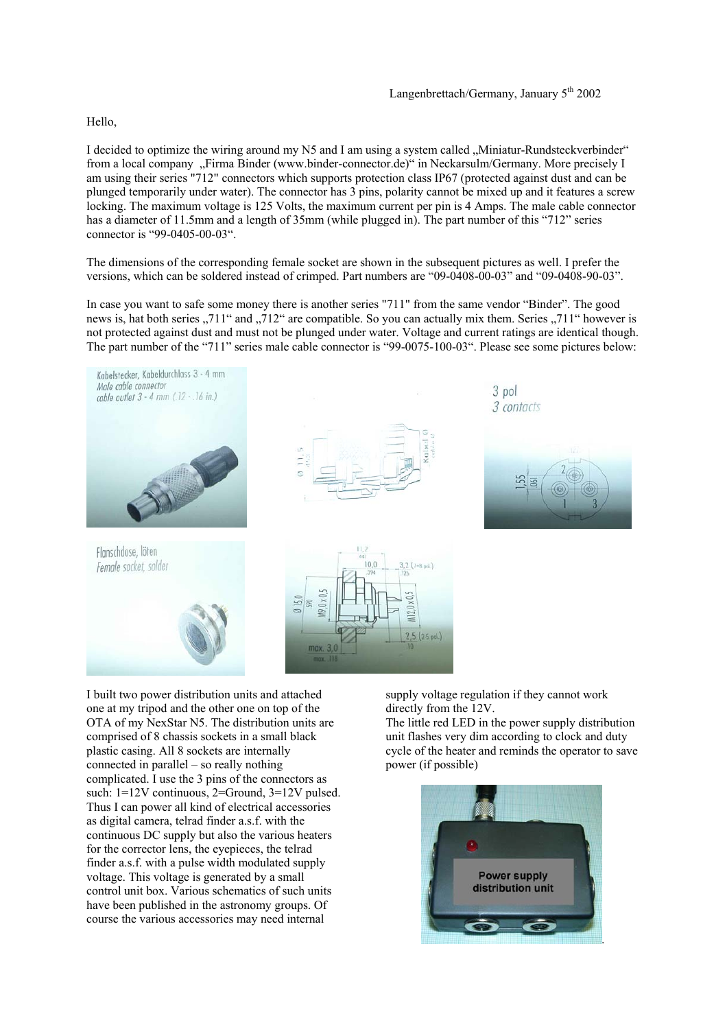## Hello,

I decided to optimize the wiring around my N5 and I am using a system called "Miniatur-Rundsteckverbinder" from a local company "Firma Binder (www.binder-connector.de)" in Neckarsulm/Germany. More precisely I am using their series "712" connectors which supports protection class IP67 (protected against dust and can be plunged temporarily under water). The connector has 3 pins, polarity cannot be mixed up and it features a screw locking. The maximum voltage is 125 Volts, the maximum current per pin is 4 Amps. The male cable connector has a diameter of 11.5mm and a length of 35mm (while plugged in). The part number of this "712" series connector is "99-0405-00-03".

The dimensions of the corresponding female socket are shown in the subsequent pictures as well. I prefer the versions, which can be soldered instead of crimped. Part numbers are "09-0408-00-03" and "09-0408-90-03".

In case you want to safe some money there is another series "711" from the same vendor "Binder". The good news is, hat both series  $0.711$ " and  $0.712$ " are compatible. So you can actually mix them. Series  $0.711$ " however is not protected against dust and must not be plunged under water. Voltage and current ratings are identical though. The part number of the "711" series male cable connector is "99-0075-100-03". Please see some pictures below:



I built two power distribution units and attached one at my tripod and the other one on top of the OTA of my NexStar N5. The distribution units are comprised of 8 chassis sockets in a small black plastic casing. All 8 sockets are internally connected in parallel – so really nothing complicated. I use the 3 pins of the connectors as such: 1=12V continuous, 2=Ground, 3=12V pulsed. Thus I can power all kind of electrical accessories as digital camera, telrad finder a.s.f. with the continuous DC supply but also the various heaters for the corrector lens, the eyepieces, the telrad finder a.s.f. with a pulse width modulated supply voltage. This voltage is generated by a small control unit box. Various schematics of such units have been published in the astronomy groups. Of course the various accessories may need internal

supply voltage regulation if they cannot work directly from the 12V.

The little red LED in the power supply distribution unit flashes very dim according to clock and duty cycle of the heater and reminds the operator to save power (if possible)

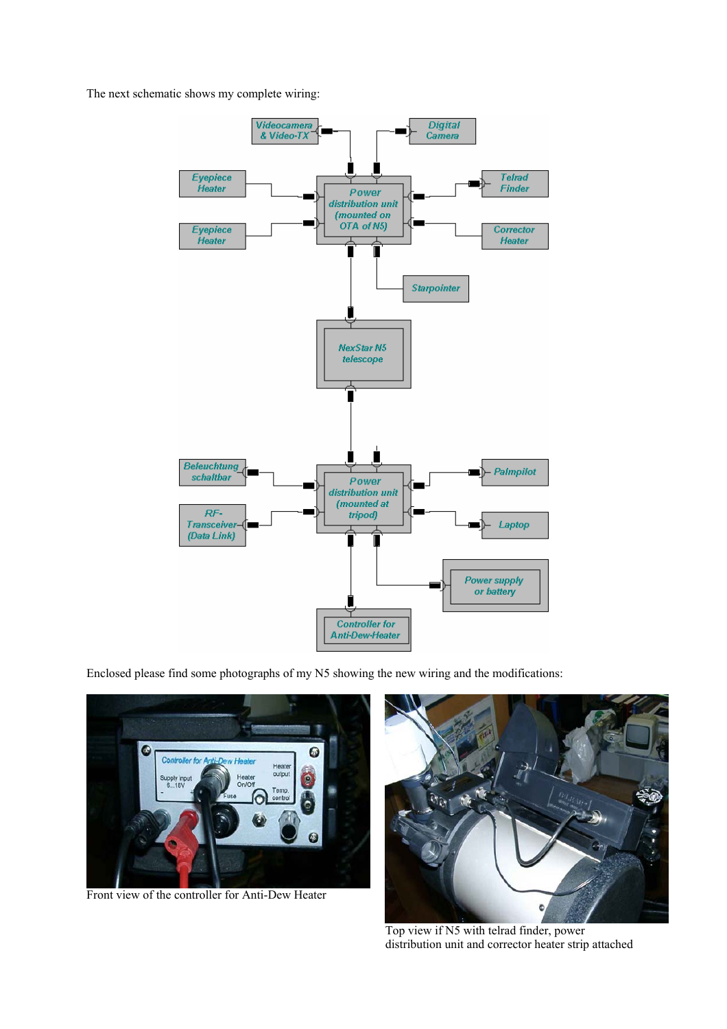The next schematic shows my complete wiring:



Enclosed please find some photographs of my N5 showing the new wiring and the modifications:



Front view of the controller for Anti-Dew Heater



Top view if N5 with telrad finder, power distribution unit and corrector heater strip attached